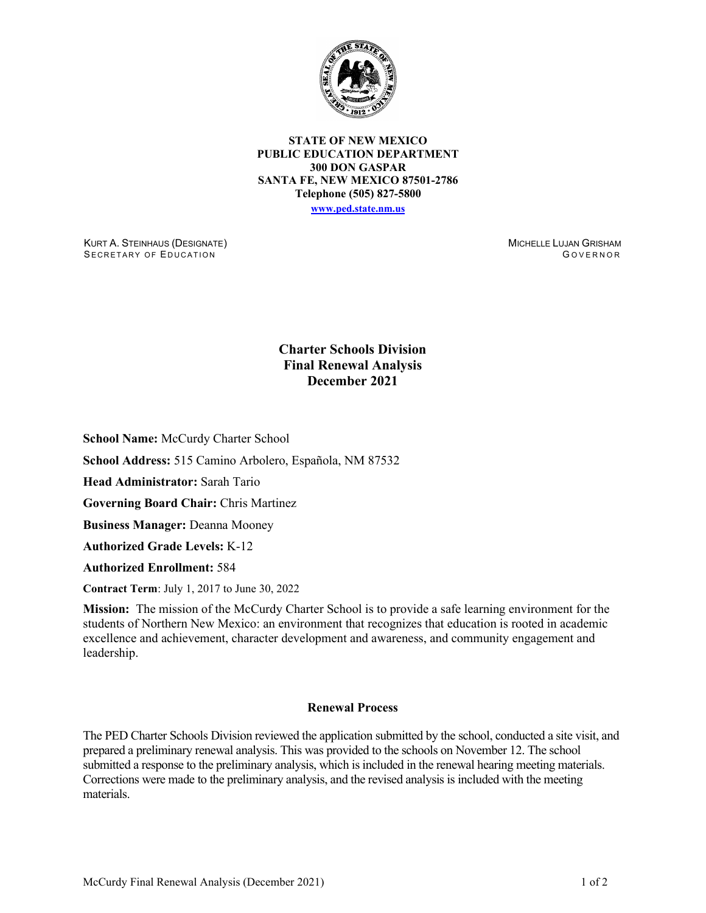

**STATE OF NEW MEXICO PUBLIC EDUCATION DEPARTMENT 300 DON GASPAR SANTA FE, NEW MEXICO 87501-2786 Telephone (505) 827-5800 [www.ped.state.nm.us](http://webnew.ped.state.nm.us/)**

KURT A. STEINHAUS (DESIGNATE) SECRETARY OF EDUCATION

MICHELLE LUJAN GRISHAM G OVERNOR

## **Charter Schools Division Final Renewal Analysis December 2021**

**School Name:** McCurdy Charter School

**School Address:** 515 Camino Arbolero, Española, NM 87532

**Head Administrator:** Sarah Tario

**Governing Board Chair:** Chris Martinez

**Business Manager:** Deanna Mooney

**Authorized Grade Levels:** K-12

**Authorized Enrollment:** 584

**Contract Term**: July 1, 2017 to June 30, 2022

**Mission:** The mission of the McCurdy Charter School is to provide a safe learning environment for the students of Northern New Mexico: an environment that recognizes that education is rooted in academic excellence and achievement, character development and awareness, and community engagement and leadership.

## **Renewal Process**

The PED Charter Schools Division reviewed the application submitted by the school, conducted a site visit, and prepared a preliminary renewal analysis. This was provided to the schools on November 12. The school submitted a response to the preliminary analysis, which is included in the renewal hearing meeting materials. Corrections were made to the preliminary analysis, and the revised analysis is included with the meeting materials.